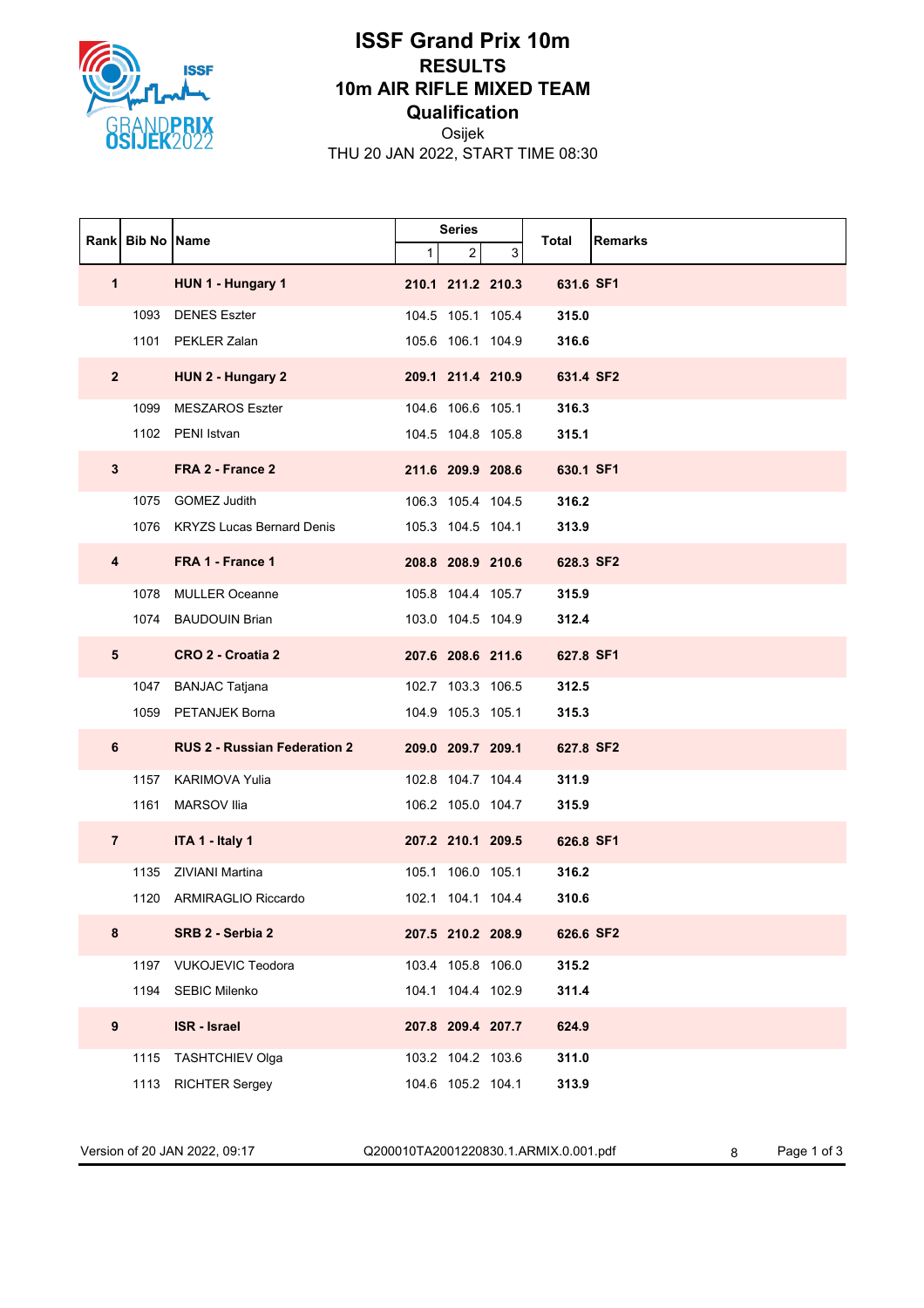

## **ISSF Grand Prix 10m RESULTS 10m AIR RIFLE MIXED TEAM Qualification**

Osijek THU 20 JAN 2022, START TIME 08:30

|                | Rank Bib No Name |                                     | <b>Series</b> |                   |   |           |                |
|----------------|------------------|-------------------------------------|---------------|-------------------|---|-----------|----------------|
|                |                  |                                     | 1             | $\overline{c}$    | 3 | Total     | <b>Remarks</b> |
| 1              |                  | HUN 1 - Hungary 1                   |               | 210.1 211.2 210.3 |   | 631.6 SF1 |                |
|                |                  | 1093 DENES Eszter                   |               | 104.5 105.1 105.4 |   | 315.0     |                |
|                |                  | 1101 PEKLER Zalan                   |               | 105.6 106.1 104.9 |   | 316.6     |                |
| $\mathbf{2}$   |                  | HUN 2 - Hungary 2                   |               | 209.1 211.4 210.9 |   | 631.4 SF2 |                |
|                |                  | 1099 MESZAROS Eszter                |               | 104.6 106.6 105.1 |   | 316.3     |                |
|                |                  | 1102 PENI Istvan                    |               | 104.5 104.8 105.8 |   | 315.1     |                |
| 3              |                  | FRA 2 - France 2                    |               | 211.6 209.9 208.6 |   | 630.1 SF1 |                |
|                |                  | 1075 GOMEZ Judith                   |               | 106.3 105.4 104.5 |   | 316.2     |                |
|                |                  | 1076 KRYZS Lucas Bernard Denis      |               | 105.3 104.5 104.1 |   | 313.9     |                |
| 4              |                  | FRA 1 - France 1                    |               | 208.8 208.9 210.6 |   | 628.3 SF2 |                |
|                |                  | 1078 MULLER Oceanne                 |               | 105.8 104.4 105.7 |   | 315.9     |                |
|                |                  | 1074 BAUDOUIN Brian                 |               | 103.0 104.5 104.9 |   | 312.4     |                |
| 5              |                  | CRO 2 - Croatia 2                   |               | 207.6 208.6 211.6 |   | 627.8 SF1 |                |
|                | 1047             | <b>BANJAC Tatjana</b>               |               | 102.7 103.3 106.5 |   | 312.5     |                |
|                |                  | 1059 PETANJEK Borna                 |               | 104.9 105.3 105.1 |   | 315.3     |                |
| 6              |                  | <b>RUS 2 - Russian Federation 2</b> |               | 209.0 209.7 209.1 |   | 627.8 SF2 |                |
|                | 1157             | <b>KARIMOVA Yulia</b>               |               | 102.8 104.7 104.4 |   | 311.9     |                |
|                | 1161             | <b>MARSOV Ilia</b>                  |               | 106.2 105.0 104.7 |   | 315.9     |                |
| $\overline{7}$ |                  | ITA 1 - Italy 1                     |               | 207.2 210.1 209.5 |   | 626.8 SF1 |                |
|                | 1135             | ZIVIANI Martina                     |               | 105.1 106.0 105.1 |   | 316.2     |                |
|                |                  | 1120 ARMIRAGLIO Riccardo            |               | 102.1 104.1 104.4 |   | 310.6     |                |
| 8              |                  | SRB 2 - Serbia 2                    |               | 207.5 210.2 208.9 |   | 626.6 SF2 |                |
|                |                  | 1197 VUKOJEVIC Teodora              |               | 103.4 105.8 106.0 |   | 315.2     |                |
|                |                  | 1194 SEBIC Milenko                  |               | 104.1 104.4 102.9 |   | 311.4     |                |
| 9              |                  | <b>ISR - Israel</b>                 |               | 207.8 209.4 207.7 |   | 624.9     |                |
|                | 1115             | TASHTCHIEV Olga                     |               | 103.2 104.2 103.6 |   | 311.0     |                |
|                | 1113             | <b>RICHTER Sergey</b>               |               | 104.6 105.2 104.1 |   | 313.9     |                |

Version of 20 JAN 2022, 09:17 Q200010TA2001220830.1.ARMIX.0.001.pdf 8 Page 1 of 3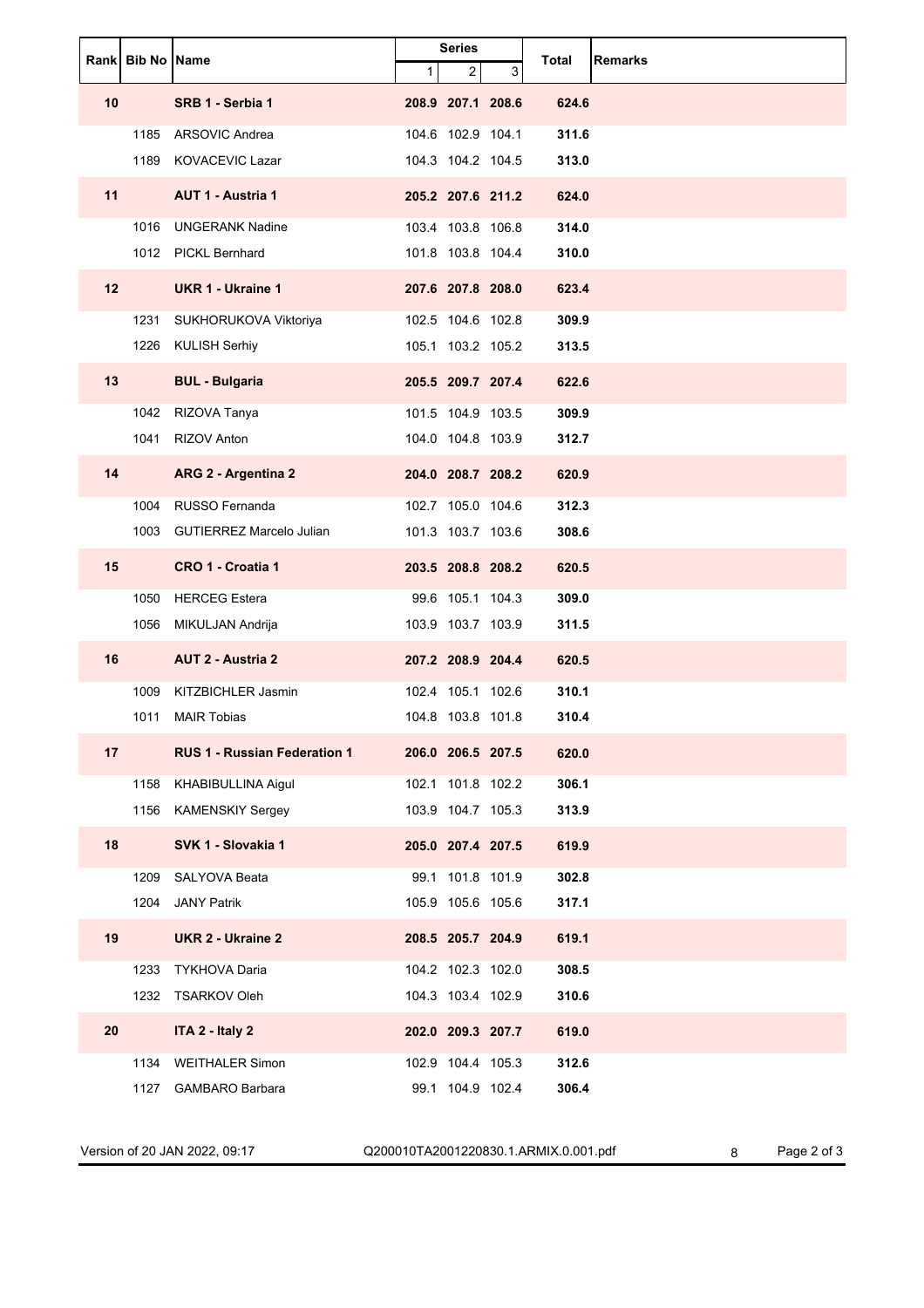|                 | Rank Bib No Name |                                     | <b>Series</b> |                   | Total | <b>Remarks</b> |  |
|-----------------|------------------|-------------------------------------|---------------|-------------------|-------|----------------|--|
|                 |                  |                                     | $\mathbf{1}$  | $\overline{2}$    | 3     |                |  |
| 10              |                  | SRB 1 - Serbia 1                    |               | 208.9 207.1 208.6 |       | 624.6          |  |
|                 | 1185             | ARSOVIC Andrea                      |               | 104.6 102.9 104.1 |       | 311.6          |  |
|                 | 1189             | <b>KOVACEVIC Lazar</b>              |               | 104.3 104.2 104.5 |       | 313.0          |  |
| 11              |                  | <b>AUT 1 - Austria 1</b>            |               | 205.2 207.6 211.2 |       | 624.0          |  |
|                 | 1016             | <b>UNGERANK Nadine</b>              |               | 103.4 103.8 106.8 |       | 314.0          |  |
|                 |                  | 1012 PICKL Bernhard                 |               | 101.8 103.8 104.4 |       | 310.0          |  |
| 12 <sup>2</sup> |                  | <b>UKR 1 - Ukraine 1</b>            |               | 207.6 207.8 208.0 |       | 623.4          |  |
|                 | 1231             | SUKHORUKOVA Viktoriya               |               | 102.5 104.6 102.8 |       | 309.9          |  |
|                 | 1226             | <b>KULISH Serhiy</b>                |               | 105.1 103.2 105.2 |       | 313.5          |  |
| 13              |                  | <b>BUL - Bulgaria</b>               |               | 205.5 209.7 207.4 |       | 622.6          |  |
|                 | 1042             | RIZOVA Tanya                        |               | 101.5 104.9 103.5 |       | 309.9          |  |
|                 | 1041             | <b>RIZOV Anton</b>                  |               | 104.0 104.8 103.9 |       | 312.7          |  |
| 14              |                  | ARG 2 - Argentina 2                 |               | 204.0 208.7 208.2 |       | 620.9          |  |
|                 | 1004             | RUSSO Fernanda                      |               | 102.7 105.0 104.6 |       | 312.3          |  |
|                 | 1003             | <b>GUTIERREZ Marcelo Julian</b>     |               | 101.3 103.7 103.6 |       | 308.6          |  |
| 15              |                  | CRO 1 - Croatia 1                   |               | 203.5 208.8 208.2 |       | 620.5          |  |
|                 | 1050             | <b>HERCEG</b> Estera                |               | 99.6 105.1 104.3  |       | 309.0          |  |
|                 | 1056             | MIKULJAN Andrija                    |               | 103.9 103.7 103.9 |       | 311.5          |  |
| 16              |                  | <b>AUT 2 - Austria 2</b>            |               | 207.2 208.9 204.4 |       | 620.5          |  |
|                 | 1009             | KITZBICHLER Jasmin                  |               | 102.4 105.1 102.6 |       | 310.1          |  |
|                 | 1011             | <b>MAIR Tobias</b>                  |               | 104.8 103.8 101.8 |       | 310.4          |  |
| 17              |                  | <b>RUS 1 - Russian Federation 1</b> |               | 206.0 206.5 207.5 |       | 620.0          |  |
|                 | 1158             | KHABIBULLINA Aigul                  |               | 102.1 101.8 102.2 |       | 306.1          |  |
|                 |                  | 1156 KAMENSKIY Sergey               |               | 103.9 104.7 105.3 |       | 313.9          |  |
| 18              |                  | SVK 1 - Slovakia 1                  |               | 205.0 207.4 207.5 |       | 619.9          |  |
|                 | 1209             | SALYOVA Beata                       |               | 99.1 101.8 101.9  |       | 302.8          |  |
|                 | 1204             | <b>JANY Patrik</b>                  |               | 105.9 105.6 105.6 |       | 317.1          |  |
| 19              |                  | <b>UKR 2 - Ukraine 2</b>            |               | 208.5 205.7 204.9 |       | 619.1          |  |
|                 | 1233             | <b>TYKHOVA Daria</b>                |               | 104.2 102.3 102.0 |       | 308.5          |  |
|                 |                  | 1232 TSARKOV Oleh                   |               | 104.3 103.4 102.9 |       | 310.6          |  |
| 20              |                  | ITA 2 - Italy 2                     |               | 202.0 209.3 207.7 |       | 619.0          |  |
|                 | 1134             | <b>WEITHALER Simon</b>              |               | 102.9 104.4 105.3 |       | 312.6          |  |
|                 | 1127             | <b>GAMBARO Barbara</b>              |               | 99.1 104.9 102.4  |       | 306.4          |  |

Version of 20 JAN 2022, 09:17 Q200010TA2001220830.1.ARMIX.0.001.pdf 8 Page 2 of 3